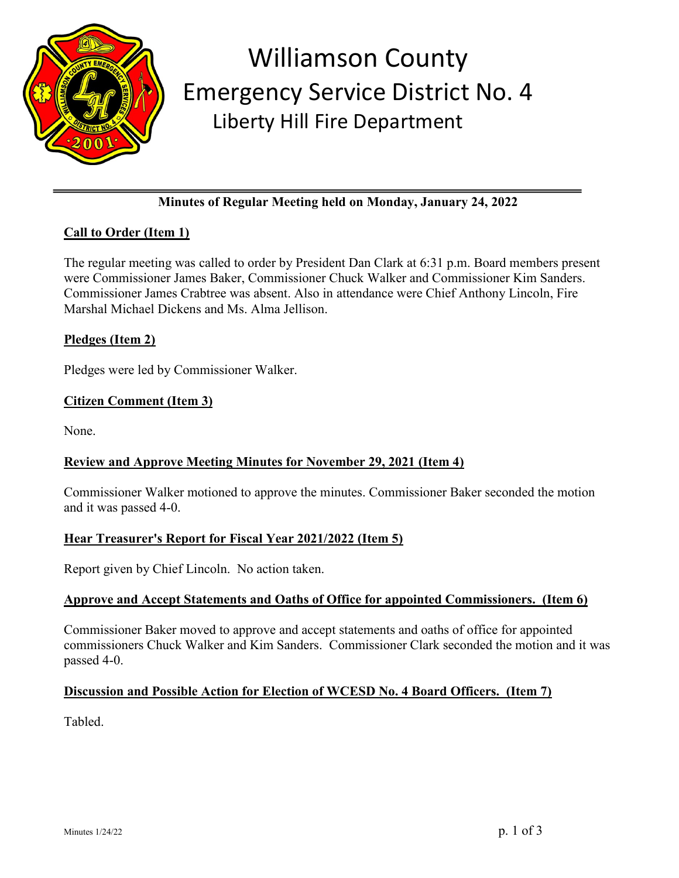

## Williamson County Emergency Service District No. 4 Liberty Hill Fire Department

## **Minutes of Regular Meeting held on Monday, January 24, 2022**

## **Call to Order (Item 1)**

The regular meeting was called to order by President Dan Clark at 6:31 p.m. Board members present were Commissioner James Baker, Commissioner Chuck Walker and Commissioner Kim Sanders. Commissioner James Crabtree was absent. Also in attendance were Chief Anthony Lincoln, Fire Marshal Michael Dickens and Ms. Alma Jellison.

## **Pledges (Item 2)**

Pledges were led by Commissioner Walker.

## **Citizen Comment (Item 3)**

None.

## **Review and Approve Meeting Minutes for November 29, 2021 (Item 4)**

Commissioner Walker motioned to approve the minutes. Commissioner Baker seconded the motion and it was passed 4-0.

## **Hear Treasurer's Report for Fiscal Year 2021/2022 (Item 5)**

Report given by Chief Lincoln. No action taken.

#### **Approve and Accept Statements and Oaths of Office for appointed Commissioners. (Item 6)**

Commissioner Baker moved to approve and accept statements and oaths of office for appointed commissioners Chuck Walker and Kim Sanders. Commissioner Clark seconded the motion and it was passed 4-0.

## **Discussion and Possible Action for Election of WCESD No. 4 Board Officers. (Item 7)**

Tabled.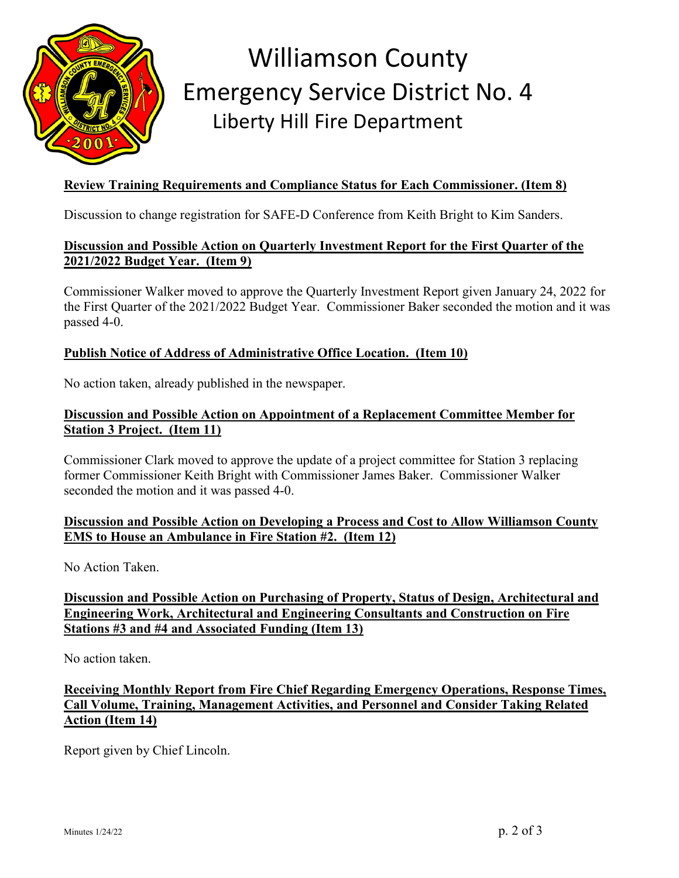

# Williamson County Emergency Service District No. 4 Liberty Hill Fire Department

### **Review Training Requirements and Compliance Status for Each Commissioner. (Item 8)**

Discussion to change registration for SAFE-D Conference from Keith Bright to Kim Sanders.

### **Discussion and Possible Action on Quarterly Investment Report for the First Quarter of the 2021/2022 Budget Year. (Item 9)**

Commissioner Walker moved to approve the Quarterly Investment Report given January 24, 2022 for the First Quarter of the 2021/2022 Budget Year. Commissioner Baker seconded the motion and it was passed 4-0.

#### **Publish Notice of Address of Administrative Office Location. (Item 10)**

No action taken, already published in the newspaper.

#### **Discussion and Possible Action on Appointment of a Replacement Committee Member for Station 3 Project. (Item 11)**

Commissioner Clark moved to approve the update of a project committee for Station 3 replacing former Commissioner Keith Bright with Commissioner James Baker. Commissioner Walker seconded the motion and it was passed 4-0.

#### **Discussion and Possible Action on Developing a Process and Cost to Allow Williamson County EMS to House an Ambulance in Fire Station #2. (Item 12)**

No Action Taken.

### **Discussion and Possible Action on Purchasing of Property, Status of Design, Architectural and Engineering Work, Architectural and Engineering Consultants and Construction on Fire Stations #3 and #4 and Associated Funding (Item 13)**

No action taken.

### **Receiving Monthly Report from Fire Chief Regarding Emergency Operations, Response Times, Call Volume, Training, Management Activities, and Personnel and Consider Taking Related Action (Item 14)**

Report given by Chief Lincoln.